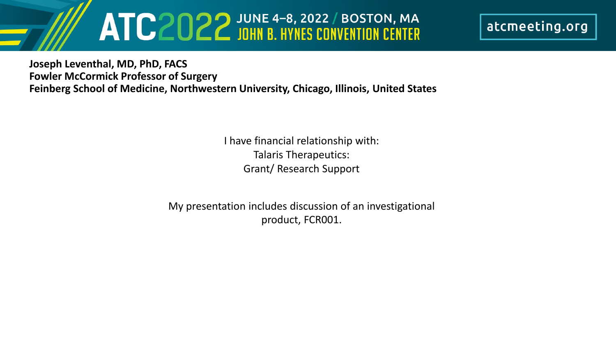# ATC2022 JOHN B. HYNES CONVENTION CENTER

atcmeeting.org

**Joseph Leventhal, MD, PhD, FACS Fowler McCormick Professor of Surgery Feinberg School of Medicine, Northwestern University, Chicago, Illinois, United States**

> I have financial relationship with: Talaris Therapeutics: Grant/ Research Support

My presentation includes discussion of an investigational product, FCR001.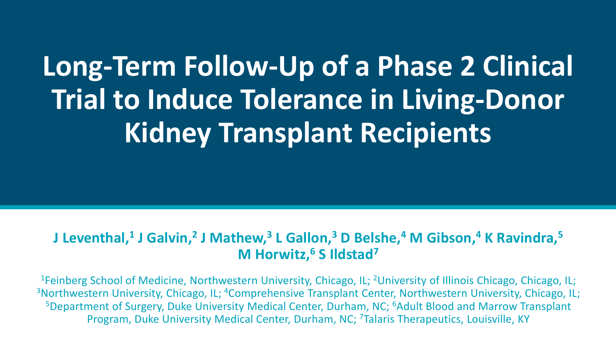## **Long-Term Follow-Up of a Phase 2 Clinical Trial to Induce Tolerance in Living-Donor Kidney Transplant Recipients**

### **J Leventhal,1 J Galvin,2 J Mathew,3 L Gallon,3 D Belshe,4 M Gibson,4 K Ravindra,5 M Horwitz,6 S Ildstad7**

<sup>1</sup>Feinberg School of Medicine, Northwestern University, Chicago, IL; <sup>2</sup>University of Illinois Chicago, Chicago, IL; <sup>3</sup>Northwestern University, Chicago, IL; <sup>4</sup>Comprehensive Transplant Center, Northwestern University, Chicago, IL; <sup>5</sup>Department of Surgery, Duke University Medical Center, Durham, NC; <sup>6</sup>Adult Blood and Marrow Transplant Program, Duke University Medical Center, Durham, NC; <sup>7</sup>Talaris Therapeutics, Louisville, KY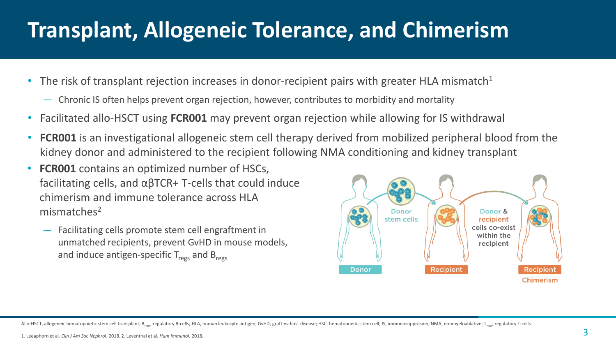## **Transplant, Allogeneic Tolerance, and Chimerism**

- The risk of transplant rejection increases in donor-recipient pairs with greater HLA mismatch<sup>1</sup>
	- Chronic IS often helps prevent organ rejection, however, contributes to morbidity and mortality
- Facilitated allo-HSCT using **FCR001** may prevent organ rejection while allowing for IS withdrawal
- **FCR001** is an investigational allogeneic stem cell therapy derived from mobilized peripheral blood from the kidney donor and administered to the recipient following NMA conditioning and kidney transplant
- **FCR001** contains an optimized number of HSCs, facilitating cells, and αβTCR+ T-cells that could induce chimerism and immune tolerance across HLA mismatches<sup>2</sup>
	- Facilitating cells promote stem cell engraftment in unmatched recipients, prevent GvHD in mouse models, and induce antigen-specific  $T_{\text{regs}}$  and  $B_{\text{regs}}$



Allo-HSCT, allogeneic hematopoietic stem cell transplant; B<sub>ress</sub> regulatory B-cells; HLA, human leukocyte antigen; GVHD, graft-vs-host disease; HSC, hematopoeitic stem cell; IS, immunosuppresion; NMA, nonmyeloablative; T<sub></sub>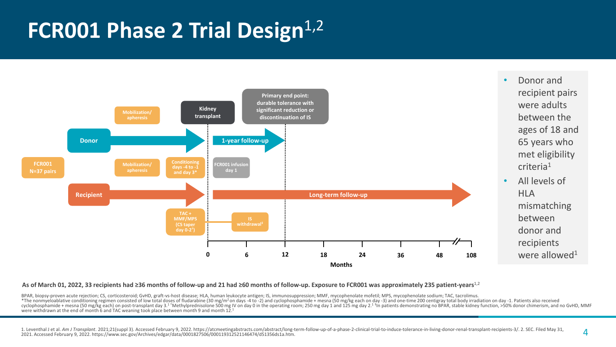### **FCR001 Phase 2 Trial Design**<sup>1,2</sup>



#### **As of March 01, 2022, 33 recipients had ≥36 months of follow-up and 21 had ≥60 months of follow-up. Exposure to FCR001 was approximately 235 patient-years**1,2

BPAR, biopsy-proven acute rejection; CS, corticosteroid; GvHD, graft-vs-host disease; HLA, human leukocyte antigen; IS, immunosuppression; MMF, mycophenolate mofetil; MPS, mycophenolate sodium; TAC, tacrolimus. run performance to the conditioning regimen consisted of low total doses of fludarabine (30 mg/m<sup>2</sup> on days -4 to -2) and cyclophosphamide + mesna (50 mg/kg each on day -3) and one-time 200 centigray total body irradiation were withdrawn at the end of month 6 and TAC weaning took place between month 9 and month 12.1

 $\lambda$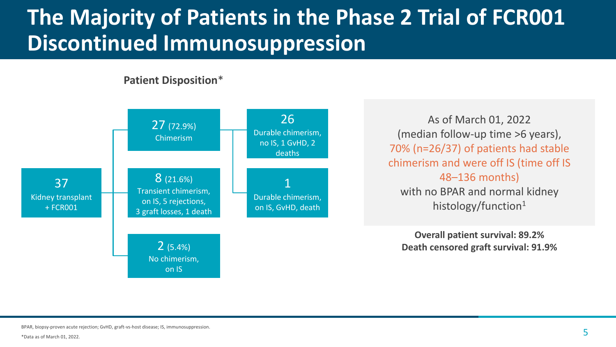## **The Majority of Patients in the Phase 2 Trial of FCR001 Discontinued Immunosuppression**

**Patient Disposition**\*



As of March 01, 2022 (median follow-up time >6 years), 70% (n=26/37) of patients had stable chimerism and were off IS (time off IS 48–136 months) with no BPAR and normal kidney histology/function<sup>1</sup>

**Overall patient survival: 89.2% Death censored graft survival: 91.9%**

BPAR, biopsy-proven acute rejection; GvHD, graft-vs-host disease; IS, immunosuppression.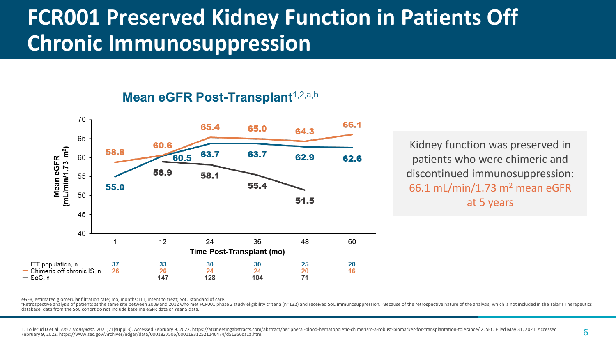### **FCR001 Preserved Kidney Function in Patients Off Chronic Immunosuppression**

#### Mean eGFR Post-Transplant<sup>1,2,a,b</sup>



Kidney function was preserved in patients who were chimeric and discontinued immunosuppression: 66.1 mL/min/1.73  $m<sup>2</sup>$  mean eGFR at 5 years

eGFR, estimated glomerular filtration rate; mo, months; ITT, intent to treat; SoC, standard of care.

<sup>a</sup>Retrospective analysis of patients at the same site between 2009 and 2012 who met FCR001 phase 2 study eligibility criteria (n=132) and received SoC immunosuppression. <sup>b</sup>Because of the retrospective nature of the analy database, data from the SoC cohort do not include baseline eGFR data or Year 5 data.

1. Tollerud D et al. Am J Transplant, 2021:21(suppl 3). Accessed February 9, 2022. https://atcmeetingabstracts.com/abstract/peripheral-blood-hematopoietic-chimerism-a-robust-biomarker-for-transplantation-tolerance/2. SEC. February 9, 2022. https://www.sec.gov/Archives/edgar/data/0001827506/000119312521146474/d51356ds1a.htm.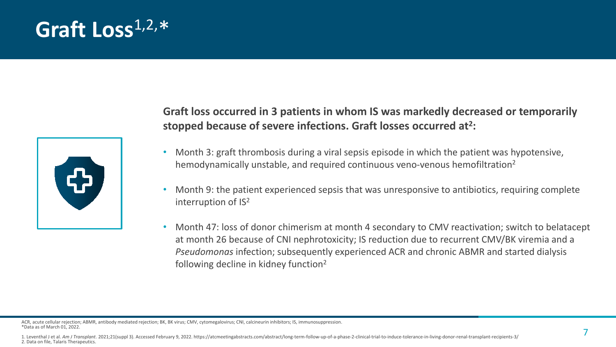### **Graft Loss**1,2,\*



#### **Graft loss occurred in 3 patients in whom IS was markedly decreased or temporarily stopped because of severe infections. Graft losses occurred at2:**

- Month 3: graft thrombosis during a viral sepsis episode in which the patient was hypotensive, hemodynamically unstable, and required continuous veno-venous hemofiltration<sup>2</sup>
- Month 9: the patient experienced sepsis that was unresponsive to antibiotics, requiring complete interruption of IS2
- Month 47: loss of donor chimerism at month 4 secondary to CMV reactivation; switch to belatacept at month 26 because of CNI nephrotoxicity; IS reduction due to recurrent CMV/BK viremia and a *Pseudomonas* infection; subsequently experienced ACR and chronic ABMR and started dialysis following decline in kidney function<sup>2</sup>

ACR, acute cellular rejection; ABMR, antibody mediated rejection; BK, BK virus; CMV, cytomegalovirus; CNI, calcineurin inhibitors; IS, immunosuppression. \*Data as of March 01, 2022.

<sup>1.</sup> Leventhal J et al. Am J Transplant. 2021;21(suppl 3). Accessed February 9, 2022. https://atcmeetingabstracts.com/abstract/long-term-follow-up-of-a-phase-2-clinical-tral-to-induce-tolerance-in-living-donor-renal-transpla 2. Data on file, Talaris Therapeutics.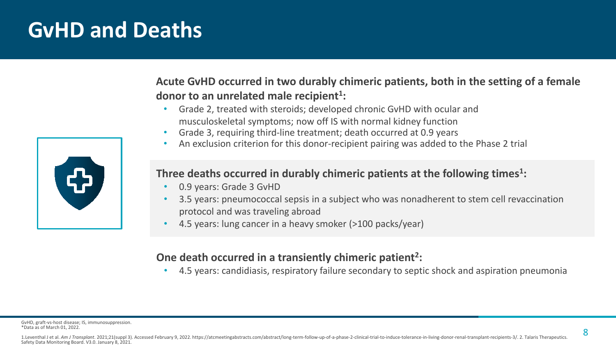### **GvHD and Deaths**

**Acute GvHD occurred in two durably chimeric patients, both in the setting of a female donor to an unrelated male recipient1:**

- Grade 2, treated with steroids; developed chronic GvHD with ocular and musculoskeletal symptoms; now off IS with normal kidney function
- Grade 3, requiring third-line treatment; death occurred at 0.9 years
- An exclusion criterion for this donor-recipient pairing was added to the Phase 2 trial

#### **Three deaths occurred in durably chimeric patients at the following times1:**

- 0.9 years: Grade 3 GvHD
- 3.5 years: pneumococcal sepsis in a subject who was nonadherent to stem cell revaccination protocol and was traveling abroad
- 4.5 years: lung cancer in a heavy smoker (>100 packs/year)

#### **One death occurred in a transiently chimeric patient<sup>2</sup>:**

• 4.5 years: candidiasis, respiratory failure secondary to septic shock and aspiration pneumonia

GvHD, graft-vs-host disease; IS, immunosuppression. \*Data as of March 01, 2022.